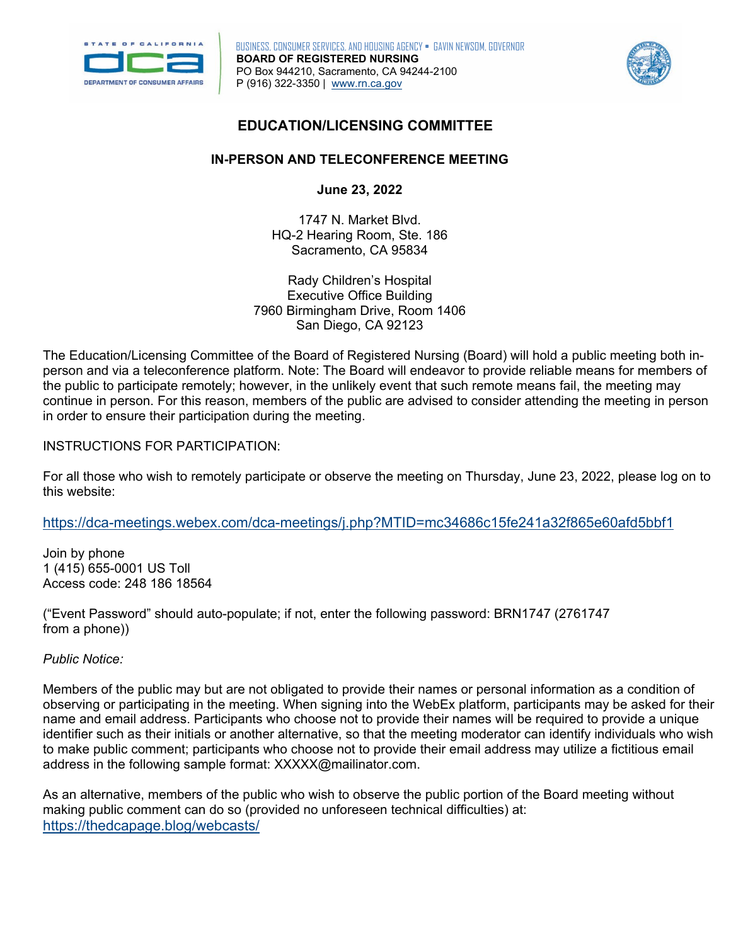

**Ju BOARD OF REGISTERED NURSING**  P (916) 322-3350 | [www.rn.ca.gov](http://www.rn.ca.gov/)  BUSINESS, CONSUMER SERVICES, AND HOUSING AGENCY • GAVIN NEWSOM, GOVERNOR PO Box 944210, Sacramento, CA 94244-2100



## **EDUCATION/LICENSING COMMITTEE**

# **IN-PERSON AND TELECONFERENCE MEETING**

**June 23, 2022** 

1747 N. Market Blvd. HQ-2 Hearing Room, Ste. 186 Sacramento, CA 95834

Rady Children's Hospital Executive Office Building 7960 Birmingham Drive, Room 1406 San Diego, CA 92123

The Education/Licensing Committee of the Board of Registered Nursing (Board) will hold a public meeting both inperson and via a teleconference platform. Note: The Board will endeavor to provide reliable means for members of the public to participate remotely; however, in the unlikely event that such remote means fail, the meeting may continue in person. For this reason, members of the public are advised to consider attending the meeting in person in order to ensure their participation during the meeting.

INSTRUCTIONS FOR PARTICIPATION:

 For all those who wish to remotely participate or observe the meeting on Thursday, June 23, 2022, please log on to this website:

<https://dca-meetings.webex.com/dca-meetings/j.php?MTID=mc34686c15fe241a32f865e60afd5bbf1>

1 (415) 655-0001 US Toll Join by phone Access code: 248 186 18564

("Event Password" should auto-populate; if not, enter the following password: BRN1747 (2761747 from a phone))

*Public Notice:* 

Members of the public may but are not obligated to provide their names or personal information as a condition of observing or participating in the meeting. When signing into the WebEx platform, participants may be asked for their name and email address. Participants who choose not to provide their names will be required to provide a unique identifier such as their initials or another alternative, so that the meeting moderator can identify individuals who wish to make public comment; participants who choose not to provide their email address may utilize a fictitious email address in the following sample format: [XXXXX@mailinator.com](mailto:XXXXX@mailinator.com).

As an alternative, members of the public who wish to observe the public portion of the Board meeting without making public comment can do so (provided no unforeseen technical difficulties) at: <https://thedcapage.blog/webcasts/>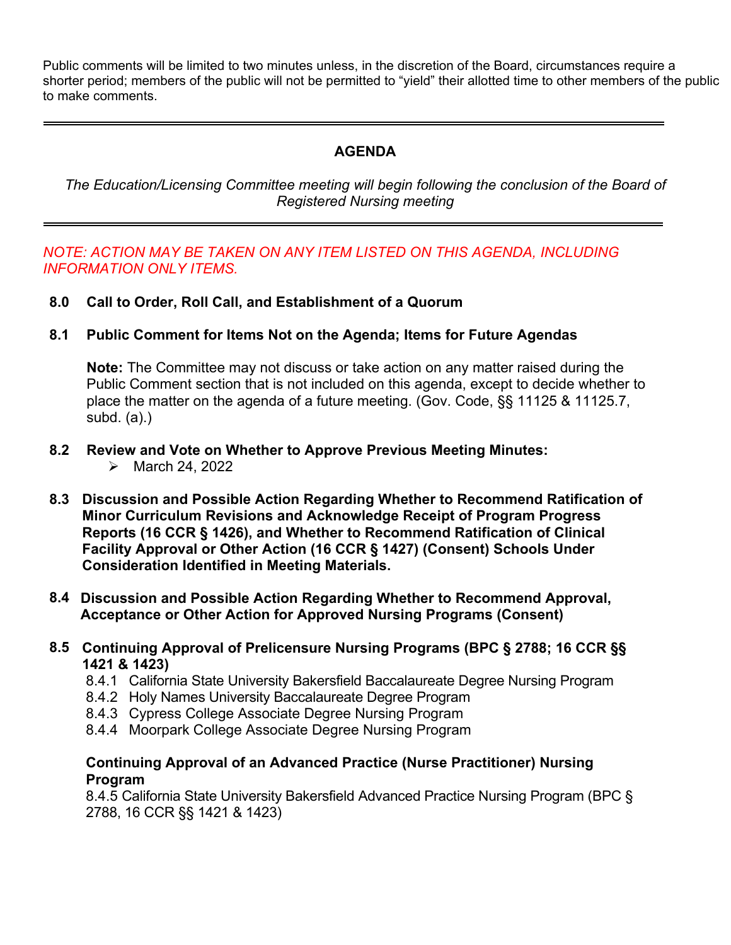Public comments will be limited to two minutes unless, in the discretion of the Board, circumstances require a shorter period; members of the public will not be permitted to "yield" their allotted time to other members of the public to make comments.

# **AGENDA**

*The Education/Licensing Committee meeting will begin following the conclusion of the Board of Registered Nursing meeting* 

### *NOTE: ACTION MAY BE TAKEN ON ANY ITEM LISTED ON THIS AGENDA, INCLUDING INFORMATION ONLY ITEMS.*

- **8.0 Call to Order, Roll Call, and Establishment of a Quorum**
- **8.1 Public Comment for Items Not on the Agenda; Items for Future Agendas**

 place the matter on the agenda of a future meeting. (Gov. Code, §§ 11125 & 11125.7, **Note:** The Committee may not discuss or take action on any matter raised during the Public Comment section that is not included on this agenda, except to decide whether to subd. (a).)

- **8.2 Review and Vote on Whether to Approve Previous Meeting Minutes:** 
	- $\blacktriangleright$  March 24, 2022
- **Facility Approval or Other Action (16 CCR § 1427) (Consent) Schools Under 8.3 Discussion and Possible Action Regarding Whether to Recommend Ratification of Minor Curriculum Revisions and Acknowledge Receipt of Program Progress Reports (16 CCR § 1426), and Whether to Recommend Ratification of Clinical Consideration Identified in Meeting Materials.**
- **8.4 Discussion and Possible Action Regarding Whether to Recommend Approval, Acceptance or Other Action for Approved Nursing Programs (Consent)**
- **1421 & 1423) 8.5 Continuing Approval of Prelicensure Nursing Programs (BPC § 2788; 16 CCR §§** 
	- 8.4.1 California State University Bakersfield Baccalaureate Degree Nursing Program<br>8.4.2 Holy Names University Baccalaureate Degree Program
	- 8.4.2 Holy Names University Baccalaureate Degree Program
	- 8.4.3 Cypress College Associate Degree Nursing Program
	- 8.4.4 Moorpark College Associate Degree Nursing Program

### **Continuing Approval of an Advanced Practice (Nurse Practitioner) Nursing Program**

8.4.5 California State University Bakersfield Advanced Practice Nursing Program (BPC § 2788, 16 CCR §§ 1421 & 1423)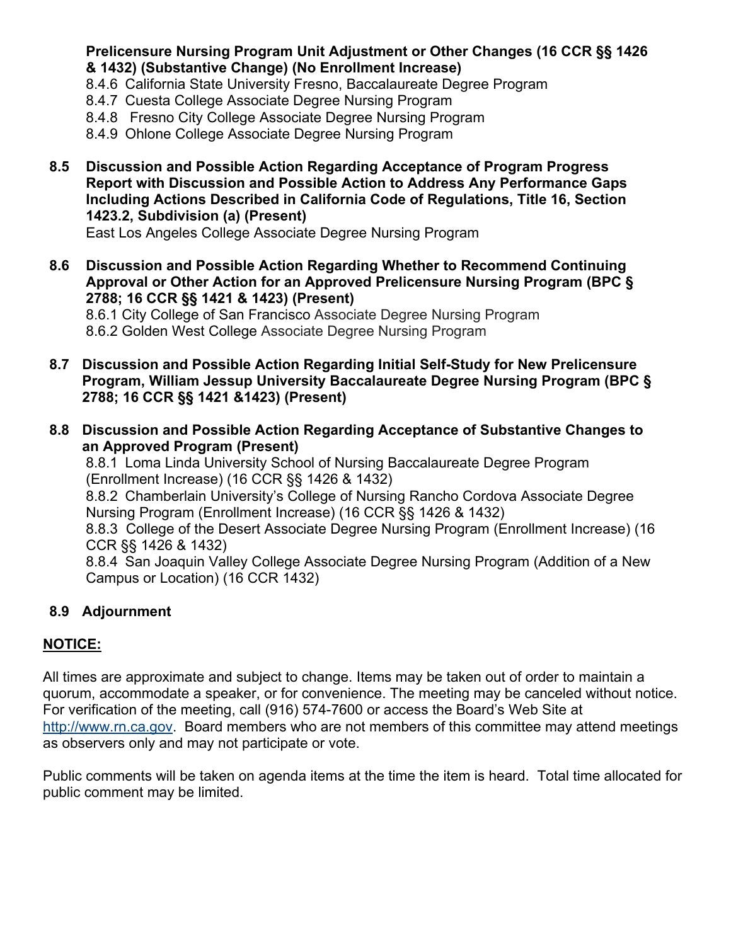### **Prelicensure Nursing Program Unit Adjustment or Other Changes (16 CCR §§ 1426 & 1432) (Substantive Change) (No Enrollment Increase)**

- 8.4.6 California State University Fresno, Baccalaureate Degree Program
- 8.4.7 Cuesta College Associate Degree Nursing Program
- 8.4.8 Fresno City College Associate Degree Nursing Program
- 8.4.9 Ohlone College Associate Degree Nursing Program
- **8.5 Discussion and Possible Action Regarding Acceptance of Program Progress Report with Discussion and Possible Action to Address Any Performance Gaps Including Actions Described in California Code of Regulations, Title 16, Section 1423.2, Subdivision (a) (Present)**

East Los Angeles College Associate Degree Nursing Program

 **2788; 16 CCR §§ 1421 & 1423) (Present) 8.6 Discussion and Possible Action Regarding Whether to Recommend Continuing Approval or Other Action for an Approved Prelicensure Nursing Program (BPC §** 

8.6.1 City College of San Francisco Associate Degree Nursing Program 8.6.2 Golden West College Associate Degree Nursing Program

- 2788; 16 CCR §§ 1421 & 1423) (Present) **8.7 Discussion and Possible Action Regarding Initial Self-Study for New Prelicensure Program, William Jessup University Baccalaureate Degree Nursing Program (BPC §**
- **2788; 16 CCR §§ 1421 &1423) (Present) 8.8 Discussion and Possible Action Regarding Acceptance of Substantive Changes to an Approved Program (Present)**

8.8.1 Loma Linda University School of Nursing Baccalaureate Degree Program (Enrollment Increase) (16 CCR §§ 1426 & 1432)

8.8.2 Chamberlain University's College of Nursing Rancho Cordova Associate Degree Nursing Program (Enrollment Increase) (16 CCR §§ 1426 & 1432)

8.8.3 College of the Desert Associate Degree Nursing Program (Enrollment Increase) (16 CCR §§ 1426 & 1432)

8.8.4 San Joaquin Valley College Associate Degree Nursing Program (Addition of a New Campus or Location) (16 CCR 1432)

# **8.9 Adjournment**

# **NOTICE:**

All times are approximate and subject to change. Items may be taken out of order to maintain a quorum, accommodate a speaker, or for convenience. The meeting may be canceled without notice. For verification of the meeting, call (916) 574-7600 or access the Board's Web Site at [http://www.rn.ca.gov.](http://www.rn.ca.gov/) Board members who are not members of this committee may attend meetings as observers only and may not participate or vote.

Public comments will be taken on agenda items at the time the item is heard. Total time allocated for public comment may be limited.